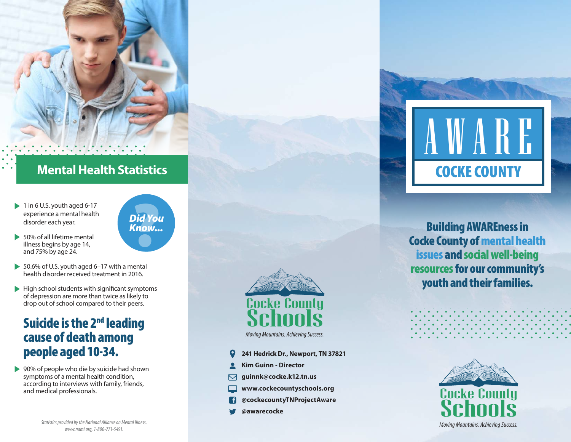

# **Mental Health Statistics**

- $\blacktriangleright$  1 in 6 U.S. youth aged 6-17 experience a mental health disorder each year.
- 50% of all lifetime mental illness begins by age 14, and 75% by age 24.
- Did You Know... Did You<br>Know...
- ▶ 50.6% of U.S. youth aged 6-17 with a mental health disorder received treatment in 2016.
- $\blacktriangleright$  High school students with significant symptoms of depression are more than twice as likely to drop out of school compared to their peers.

# Suicide is the 2<sup>nd</sup> leading cause of death among people aged 10-34.

**→ 90% of people who die by suicide had shown** symptoms of a mental health condition, according to interviews with family, friends, and medical professionals.

> Statistics provided by the National Alliance on Mental Illness. www.nami.org, 1-800-771-5491.



Moving Mountains. Achieving Success.

- **241 Hedrick Dr., Newport, TN 37821**
- **Kim Guinn Director**
- **guinnk@cocke.k12.tn.us** 罓
- **www.cockecountyschools.org**
- **@cockecountyTNProjectAware**
- **@awarecocke**



Building AWAREness in Cocke County of mental health issues and social well-being resources for our community's youth and their families.